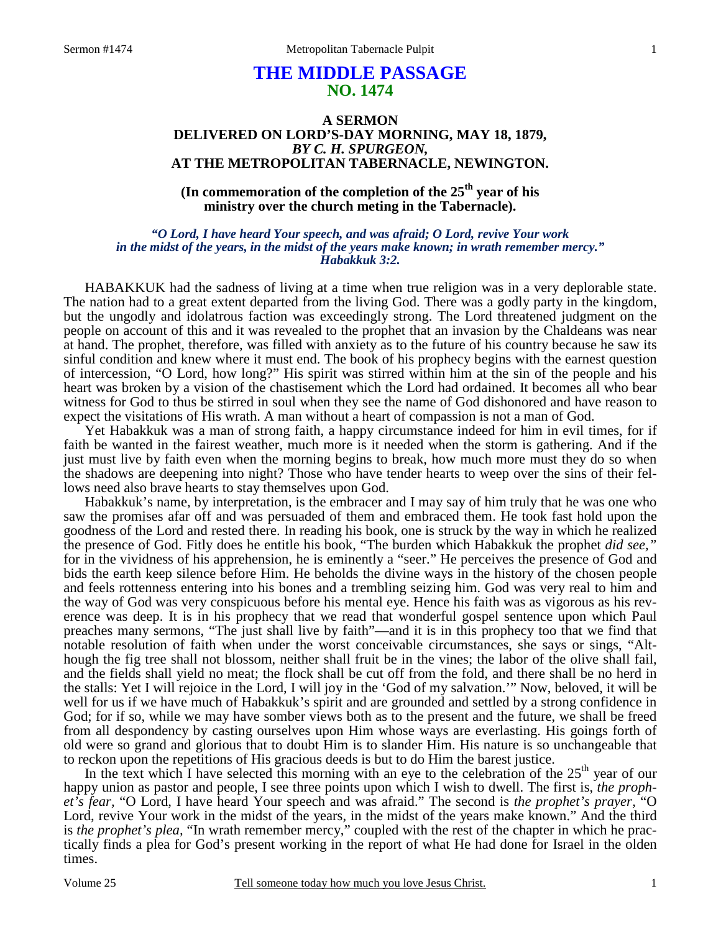## **THE MIDDLE PASSAGE NO. 1474**

## **A SERMON DELIVERED ON LORD'S-DAY MORNING, MAY 18, 1879,**  *BY C. H. SPURGEON,*  **AT THE METROPOLITAN TABERNACLE, NEWINGTON.**

## **(In commemoration of the completion of the 25th year of his ministry over the church meting in the Tabernacle).**

*"O Lord, I have heard Your speech, and was afraid; O Lord, revive Your work in the midst of the years, in the midst of the years make known; in wrath remember mercy." Habakkuk 3:2.* 

HABAKKUK had the sadness of living at a time when true religion was in a very deplorable state. The nation had to a great extent departed from the living God. There was a godly party in the kingdom, but the ungodly and idolatrous faction was exceedingly strong. The Lord threatened judgment on the people on account of this and it was revealed to the prophet that an invasion by the Chaldeans was near at hand. The prophet, therefore, was filled with anxiety as to the future of his country because he saw its sinful condition and knew where it must end. The book of his prophecy begins with the earnest question of intercession, "O Lord, how long?" His spirit was stirred within him at the sin of the people and his heart was broken by a vision of the chastisement which the Lord had ordained. It becomes all who bear witness for God to thus be stirred in soul when they see the name of God dishonored and have reason to expect the visitations of His wrath. A man without a heart of compassion is not a man of God.

 Yet Habakkuk was a man of strong faith, a happy circumstance indeed for him in evil times, for if faith be wanted in the fairest weather, much more is it needed when the storm is gathering. And if the just must live by faith even when the morning begins to break, how much more must they do so when the shadows are deepening into night? Those who have tender hearts to weep over the sins of their fellows need also brave hearts to stay themselves upon God.

 Habakkuk's name, by interpretation, is the embracer and I may say of him truly that he was one who saw the promises afar off and was persuaded of them and embraced them. He took fast hold upon the goodness of the Lord and rested there. In reading his book, one is struck by the way in which he realized the presence of God. Fitly does he entitle his book, "The burden which Habakkuk the prophet *did see,"* for in the vividness of his apprehension, he is eminently a "seer." He perceives the presence of God and bids the earth keep silence before Him. He beholds the divine ways in the history of the chosen people and feels rottenness entering into his bones and a trembling seizing him. God was very real to him and the way of God was very conspicuous before his mental eye. Hence his faith was as vigorous as his reverence was deep. It is in his prophecy that we read that wonderful gospel sentence upon which Paul preaches many sermons, "The just shall live by faith"—and it is in this prophecy too that we find that notable resolution of faith when under the worst conceivable circumstances, she says or sings, "Although the fig tree shall not blossom, neither shall fruit be in the vines; the labor of the olive shall fail, and the fields shall yield no meat; the flock shall be cut off from the fold, and there shall be no herd in the stalls: Yet I will rejoice in the Lord, I will joy in the 'God of my salvation.'" Now, beloved, it will be well for us if we have much of Habakkuk's spirit and are grounded and settled by a strong confidence in God; for if so, while we may have somber views both as to the present and the future, we shall be freed from all despondency by casting ourselves upon Him whose ways are everlasting. His goings forth of old were so grand and glorious that to doubt Him is to slander Him. His nature is so unchangeable that to reckon upon the repetitions of His gracious deeds is but to do Him the barest justice.

In the text which I have selected this morning with an eye to the celebration of the  $25<sup>th</sup>$  year of our happy union as pastor and people, I see three points upon which I wish to dwell. The first is, *the prophet's fear,* "O Lord, I have heard Your speech and was afraid." The second is *the prophet's prayer,* "O Lord, revive Your work in the midst of the years, in the midst of the years make known." And the third is *the prophet's plea,* "In wrath remember mercy," coupled with the rest of the chapter in which he practically finds a plea for God's present working in the report of what He had done for Israel in the olden times.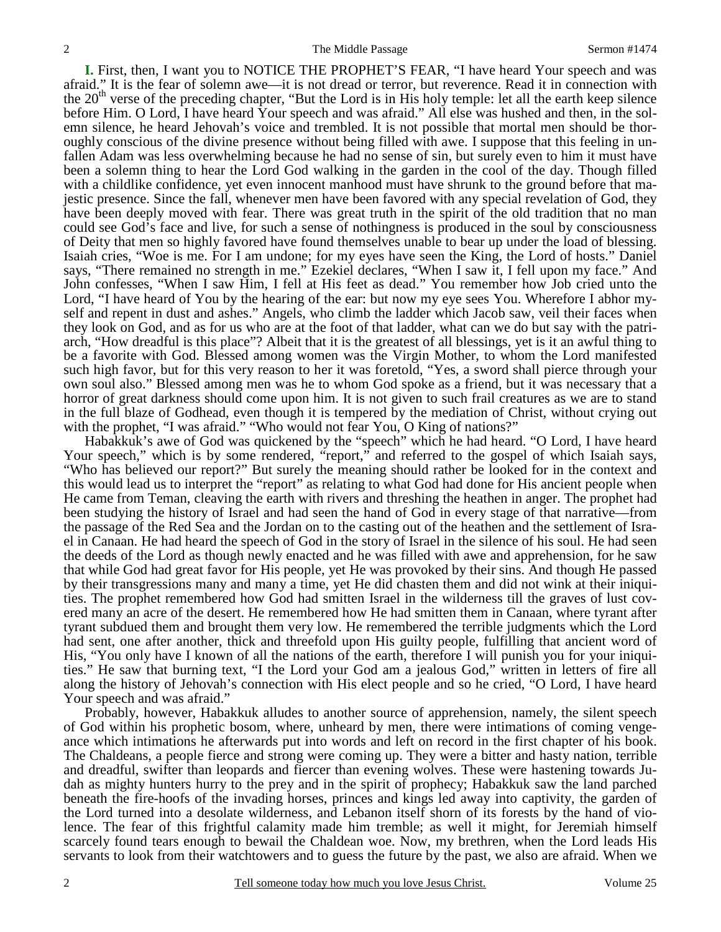**I.** First, then, I want you to NOTICE THE PROPHET'S FEAR, "I have heard Your speech and was afraid." It is the fear of solemn awe—it is not dread or terror, but reverence. Read it in connection with the 20<sup>th</sup> verse of the preceding chapter, "But the Lord is in His holy temple: let all the earth keep silence before Him. O Lord, I have heard Your speech and was afraid." All else was hushed and then, in the solemn silence, he heard Jehovah's voice and trembled. It is not possible that mortal men should be thoroughly conscious of the divine presence without being filled with awe. I suppose that this feeling in unfallen Adam was less overwhelming because he had no sense of sin, but surely even to him it must have been a solemn thing to hear the Lord God walking in the garden in the cool of the day. Though filled with a childlike confidence, yet even innocent manhood must have shrunk to the ground before that majestic presence. Since the fall, whenever men have been favored with any special revelation of God, they have been deeply moved with fear. There was great truth in the spirit of the old tradition that no man could see God's face and live, for such a sense of nothingness is produced in the soul by consciousness of Deity that men so highly favored have found themselves unable to bear up under the load of blessing. Isaiah cries, "Woe is me. For I am undone; for my eyes have seen the King, the Lord of hosts." Daniel says, "There remained no strength in me." Ezekiel declares, "When I saw it, I fell upon my face." And John confesses, "When I saw Him, I fell at His feet as dead." You remember how Job cried unto the Lord, "I have heard of You by the hearing of the ear: but now my eye sees You. Wherefore I abhor myself and repent in dust and ashes." Angels, who climb the ladder which Jacob saw, veil their faces when they look on God, and as for us who are at the foot of that ladder, what can we do but say with the patriarch, "How dreadful is this place"? Albeit that it is the greatest of all blessings, yet is it an awful thing to be a favorite with God. Blessed among women was the Virgin Mother, to whom the Lord manifested such high favor, but for this very reason to her it was foretold, "Yes, a sword shall pierce through your own soul also." Blessed among men was he to whom God spoke as a friend, but it was necessary that a horror of great darkness should come upon him. It is not given to such frail creatures as we are to stand in the full blaze of Godhead, even though it is tempered by the mediation of Christ, without crying out with the prophet, "I was afraid." "Who would not fear You, O King of nations?"

 Habakkuk's awe of God was quickened by the "speech" which he had heard. "O Lord, I have heard Your speech," which is by some rendered, "report," and referred to the gospel of which Isaiah says, "Who has believed our report?" But surely the meaning should rather be looked for in the context and this would lead us to interpret the "report" as relating to what God had done for His ancient people when He came from Teman, cleaving the earth with rivers and threshing the heathen in anger. The prophet had been studying the history of Israel and had seen the hand of God in every stage of that narrative—from the passage of the Red Sea and the Jordan on to the casting out of the heathen and the settlement of Israel in Canaan. He had heard the speech of God in the story of Israel in the silence of his soul. He had seen the deeds of the Lord as though newly enacted and he was filled with awe and apprehension, for he saw that while God had great favor for His people, yet He was provoked by their sins. And though He passed by their transgressions many and many a time, yet He did chasten them and did not wink at their iniquities. The prophet remembered how God had smitten Israel in the wilderness till the graves of lust covered many an acre of the desert. He remembered how He had smitten them in Canaan, where tyrant after tyrant subdued them and brought them very low. He remembered the terrible judgments which the Lord had sent, one after another, thick and threefold upon His guilty people, fulfilling that ancient word of His, "You only have I known of all the nations of the earth, therefore I will punish you for your iniquities." He saw that burning text, "I the Lord your God am a jealous God," written in letters of fire all along the history of Jehovah's connection with His elect people and so he cried, "O Lord, I have heard Your speech and was afraid."

 Probably, however, Habakkuk alludes to another source of apprehension, namely, the silent speech of God within his prophetic bosom, where, unheard by men, there were intimations of coming vengeance which intimations he afterwards put into words and left on record in the first chapter of his book. The Chaldeans, a people fierce and strong were coming up. They were a bitter and hasty nation, terrible and dreadful, swifter than leopards and fiercer than evening wolves. These were hastening towards Judah as mighty hunters hurry to the prey and in the spirit of prophecy; Habakkuk saw the land parched beneath the fire-hoofs of the invading horses, princes and kings led away into captivity, the garden of the Lord turned into a desolate wilderness, and Lebanon itself shorn of its forests by the hand of violence. The fear of this frightful calamity made him tremble; as well it might, for Jeremiah himself scarcely found tears enough to bewail the Chaldean woe. Now, my brethren, when the Lord leads His servants to look from their watchtowers and to guess the future by the past, we also are afraid. When we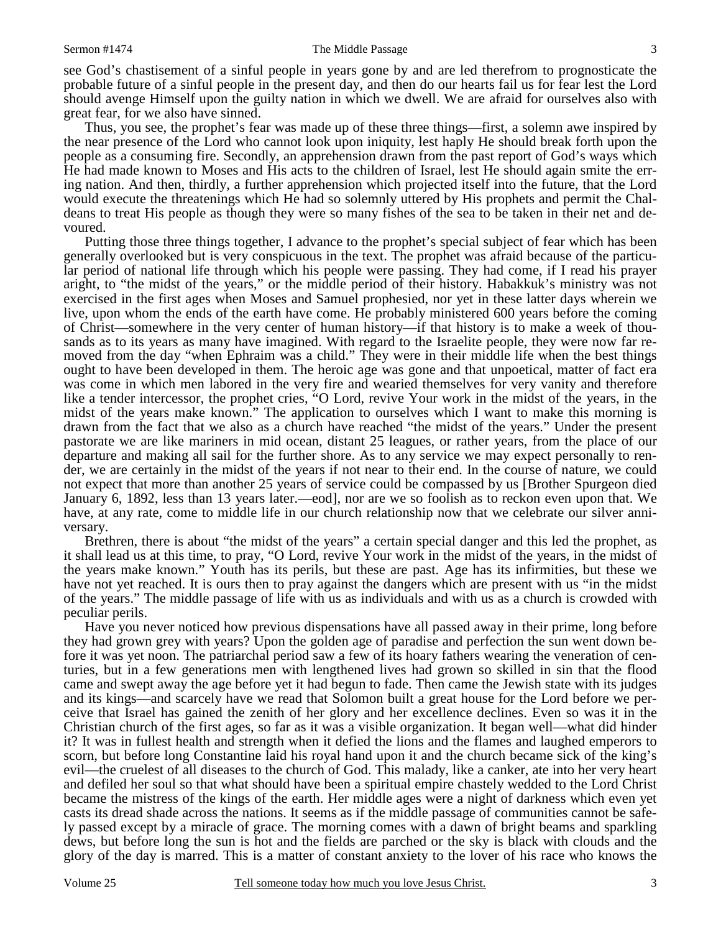see God's chastisement of a sinful people in years gone by and are led therefrom to prognosticate the probable future of a sinful people in the present day, and then do our hearts fail us for fear lest the Lord should avenge Himself upon the guilty nation in which we dwell. We are afraid for ourselves also with great fear, for we also have sinned.

 Thus, you see, the prophet's fear was made up of these three things—first, a solemn awe inspired by the near presence of the Lord who cannot look upon iniquity, lest haply He should break forth upon the people as a consuming fire. Secondly, an apprehension drawn from the past report of God's ways which He had made known to Moses and His acts to the children of Israel, lest He should again smite the erring nation. And then, thirdly, a further apprehension which projected itself into the future, that the Lord would execute the threatenings which He had so solemnly uttered by His prophets and permit the Chaldeans to treat His people as though they were so many fishes of the sea to be taken in their net and devoured.

 Putting those three things together, I advance to the prophet's special subject of fear which has been generally overlooked but is very conspicuous in the text. The prophet was afraid because of the particular period of national life through which his people were passing. They had come, if I read his prayer aright, to "the midst of the years," or the middle period of their history. Habakkuk's ministry was not exercised in the first ages when Moses and Samuel prophesied, nor yet in these latter days wherein we live, upon whom the ends of the earth have come. He probably ministered 600 years before the coming of Christ—somewhere in the very center of human history—if that history is to make a week of thousands as to its years as many have imagined. With regard to the Israelite people, they were now far removed from the day "when Ephraim was a child." They were in their middle life when the best things ought to have been developed in them. The heroic age was gone and that unpoetical, matter of fact era was come in which men labored in the very fire and wearied themselves for very vanity and therefore like a tender intercessor, the prophet cries, "O Lord, revive Your work in the midst of the years, in the midst of the years make known." The application to ourselves which I want to make this morning is drawn from the fact that we also as a church have reached "the midst of the years." Under the present pastorate we are like mariners in mid ocean, distant 25 leagues, or rather years, from the place of our departure and making all sail for the further shore. As to any service we may expect personally to render, we are certainly in the midst of the years if not near to their end. In the course of nature, we could not expect that more than another 25 years of service could be compassed by us [Brother Spurgeon died January 6, 1892, less than 13 years later.—eod], nor are we so foolish as to reckon even upon that. We have, at any rate, come to middle life in our church relationship now that we celebrate our silver anniversary.

 Brethren, there is about "the midst of the years" a certain special danger and this led the prophet, as it shall lead us at this time, to pray, "O Lord, revive Your work in the midst of the years, in the midst of the years make known." Youth has its perils, but these are past. Age has its infirmities, but these we have not yet reached. It is ours then to pray against the dangers which are present with us "in the midst of the years." The middle passage of life with us as individuals and with us as a church is crowded with peculiar perils.

 Have you never noticed how previous dispensations have all passed away in their prime, long before they had grown grey with years? Upon the golden age of paradise and perfection the sun went down before it was yet noon. The patriarchal period saw a few of its hoary fathers wearing the veneration of centuries, but in a few generations men with lengthened lives had grown so skilled in sin that the flood came and swept away the age before yet it had begun to fade. Then came the Jewish state with its judges and its kings—and scarcely have we read that Solomon built a great house for the Lord before we perceive that Israel has gained the zenith of her glory and her excellence declines. Even so was it in the Christian church of the first ages, so far as it was a visible organization. It began well—what did hinder it? It was in fullest health and strength when it defied the lions and the flames and laughed emperors to scorn, but before long Constantine laid his royal hand upon it and the church became sick of the king's evil—the cruelest of all diseases to the church of God. This malady, like a canker, ate into her very heart and defiled her soul so that what should have been a spiritual empire chastely wedded to the Lord Christ became the mistress of the kings of the earth. Her middle ages were a night of darkness which even yet casts its dread shade across the nations. It seems as if the middle passage of communities cannot be safely passed except by a miracle of grace. The morning comes with a dawn of bright beams and sparkling dews, but before long the sun is hot and the fields are parched or the sky is black with clouds and the glory of the day is marred. This is a matter of constant anxiety to the lover of his race who knows the

3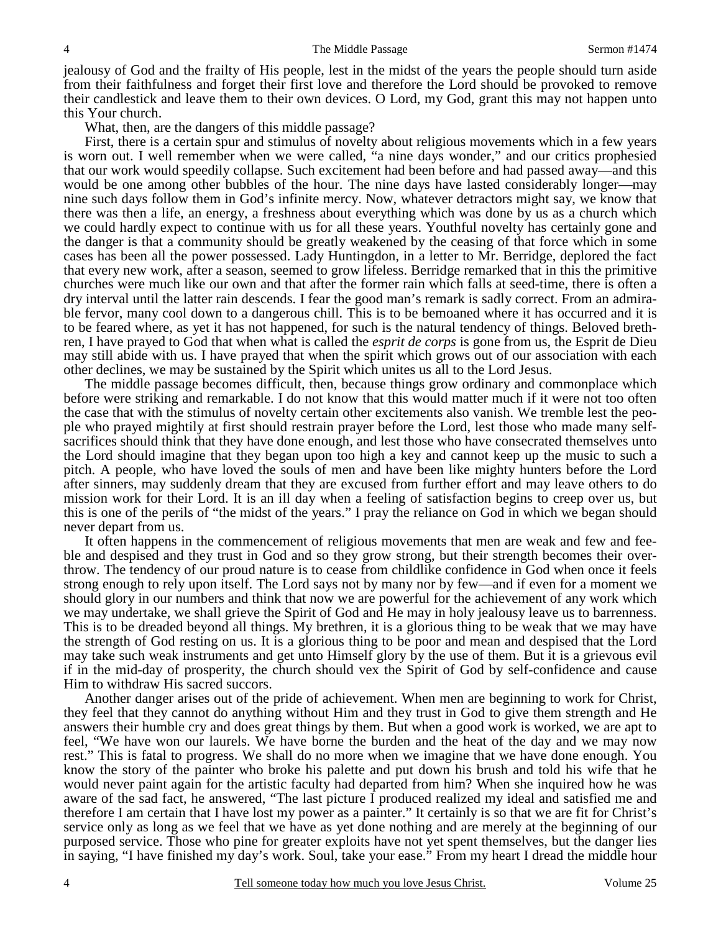jealousy of God and the frailty of His people, lest in the midst of the years the people should turn aside from their faithfulness and forget their first love and therefore the Lord should be provoked to remove their candlestick and leave them to their own devices. O Lord, my God, grant this may not happen unto this Your church.

What, then, are the dangers of this middle passage?

 First, there is a certain spur and stimulus of novelty about religious movements which in a few years is worn out. I well remember when we were called, "a nine days wonder," and our critics prophesied that our work would speedily collapse. Such excitement had been before and had passed away—and this would be one among other bubbles of the hour. The nine days have lasted considerably longer—may nine such days follow them in God's infinite mercy. Now, whatever detractors might say, we know that there was then a life, an energy, a freshness about everything which was done by us as a church which we could hardly expect to continue with us for all these years. Youthful novelty has certainly gone and the danger is that a community should be greatly weakened by the ceasing of that force which in some cases has been all the power possessed. Lady Huntingdon, in a letter to Mr. Berridge, deplored the fact that every new work, after a season, seemed to grow lifeless. Berridge remarked that in this the primitive churches were much like our own and that after the former rain which falls at seed-time, there is often a dry interval until the latter rain descends. I fear the good man's remark is sadly correct. From an admirable fervor, many cool down to a dangerous chill. This is to be bemoaned where it has occurred and it is to be feared where, as yet it has not happened, for such is the natural tendency of things. Beloved brethren, I have prayed to God that when what is called the *esprit de corps* is gone from us, the Esprit de Dieu may still abide with us. I have prayed that when the spirit which grows out of our association with each other declines, we may be sustained by the Spirit which unites us all to the Lord Jesus.

 The middle passage becomes difficult, then, because things grow ordinary and commonplace which before were striking and remarkable. I do not know that this would matter much if it were not too often the case that with the stimulus of novelty certain other excitements also vanish. We tremble lest the people who prayed mightily at first should restrain prayer before the Lord, lest those who made many selfsacrifices should think that they have done enough, and lest those who have consecrated themselves unto the Lord should imagine that they began upon too high a key and cannot keep up the music to such a pitch. A people, who have loved the souls of men and have been like mighty hunters before the Lord after sinners, may suddenly dream that they are excused from further effort and may leave others to do mission work for their Lord. It is an ill day when a feeling of satisfaction begins to creep over us, but this is one of the perils of "the midst of the years." I pray the reliance on God in which we began should never depart from us.

 It often happens in the commencement of religious movements that men are weak and few and feeble and despised and they trust in God and so they grow strong, but their strength becomes their overthrow. The tendency of our proud nature is to cease from childlike confidence in God when once it feels strong enough to rely upon itself. The Lord says not by many nor by few—and if even for a moment we should glory in our numbers and think that now we are powerful for the achievement of any work which we may undertake, we shall grieve the Spirit of God and He may in holy jealousy leave us to barrenness. This is to be dreaded beyond all things. My brethren, it is a glorious thing to be weak that we may have the strength of God resting on us. It is a glorious thing to be poor and mean and despised that the Lord may take such weak instruments and get unto Himself glory by the use of them. But it is a grievous evil if in the mid-day of prosperity, the church should vex the Spirit of God by self-confidence and cause Him to withdraw His sacred succors.

 Another danger arises out of the pride of achievement. When men are beginning to work for Christ, they feel that they cannot do anything without Him and they trust in God to give them strength and He answers their humble cry and does great things by them. But when a good work is worked, we are apt to feel, "We have won our laurels. We have borne the burden and the heat of the day and we may now rest." This is fatal to progress. We shall do no more when we imagine that we have done enough. You know the story of the painter who broke his palette and put down his brush and told his wife that he would never paint again for the artistic faculty had departed from him? When she inquired how he was aware of the sad fact, he answered, "The last picture I produced realized my ideal and satisfied me and therefore I am certain that I have lost my power as a painter." It certainly is so that we are fit for Christ's service only as long as we feel that we have as yet done nothing and are merely at the beginning of our purposed service. Those who pine for greater exploits have not yet spent themselves, but the danger lies in saying, "I have finished my day's work. Soul, take your ease." From my heart I dread the middle hour

4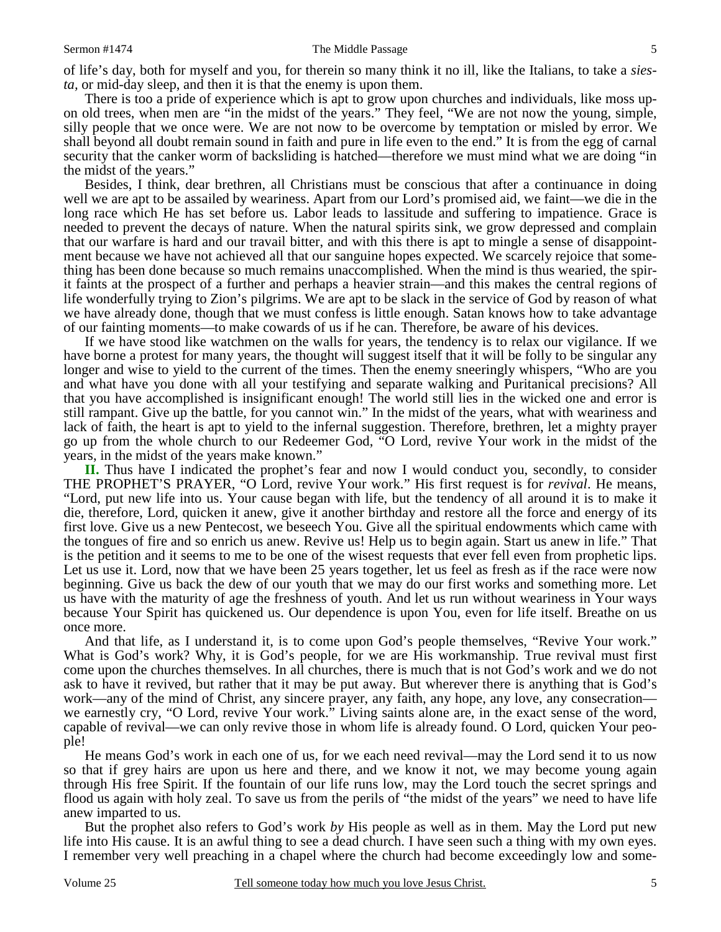of life's day, both for myself and you, for therein so many think it no ill, like the Italians, to take a *siesta,* or mid-day sleep, and then it is that the enemy is upon them.

 There is too a pride of experience which is apt to grow upon churches and individuals, like moss upon old trees, when men are "in the midst of the years." They feel, "We are not now the young, simple, silly people that we once were. We are not now to be overcome by temptation or misled by error. We shall beyond all doubt remain sound in faith and pure in life even to the end." It is from the egg of carnal security that the canker worm of backsliding is hatched—therefore we must mind what we are doing "in the midst of the years."

 Besides, I think, dear brethren, all Christians must be conscious that after a continuance in doing well we are apt to be assailed by weariness. Apart from our Lord's promised aid, we faint—we die in the long race which He has set before us. Labor leads to lassitude and suffering to impatience. Grace is needed to prevent the decays of nature. When the natural spirits sink, we grow depressed and complain that our warfare is hard and our travail bitter, and with this there is apt to mingle a sense of disappointment because we have not achieved all that our sanguine hopes expected. We scarcely rejoice that something has been done because so much remains unaccomplished. When the mind is thus wearied, the spirit faints at the prospect of a further and perhaps a heavier strain—and this makes the central regions of life wonderfully trying to Zion's pilgrims. We are apt to be slack in the service of God by reason of what we have already done, though that we must confess is little enough. Satan knows how to take advantage of our fainting moments—to make cowards of us if he can. Therefore, be aware of his devices.

 If we have stood like watchmen on the walls for years, the tendency is to relax our vigilance. If we have borne a protest for many years, the thought will suggest itself that it will be folly to be singular any longer and wise to yield to the current of the times. Then the enemy sneeringly whispers, "Who are you and what have you done with all your testifying and separate walking and Puritanical precisions? All that you have accomplished is insignificant enough! The world still lies in the wicked one and error is still rampant. Give up the battle, for you cannot win." In the midst of the years, what with weariness and lack of faith, the heart is apt to yield to the infernal suggestion. Therefore, brethren, let a mighty prayer go up from the whole church to our Redeemer God, "O Lord, revive Your work in the midst of the years, in the midst of the years make known."

**II.** Thus have I indicated the prophet's fear and now I would conduct you, secondly, to consider THE PROPHET'S PRAYER, "O Lord, revive Your work." His first request is for *revival*. He means, "Lord, put new life into us. Your cause began with life, but the tendency of all around it is to make it die, therefore, Lord, quicken it anew, give it another birthday and restore all the force and energy of its first love. Give us a new Pentecost, we beseech You. Give all the spiritual endowments which came with the tongues of fire and so enrich us anew. Revive us! Help us to begin again. Start us anew in life." That is the petition and it seems to me to be one of the wisest requests that ever fell even from prophetic lips. Let us use it. Lord, now that we have been 25 years together, let us feel as fresh as if the race were now beginning. Give us back the dew of our youth that we may do our first works and something more. Let us have with the maturity of age the freshness of youth. And let us run without weariness in Your ways because Your Spirit has quickened us. Our dependence is upon You, even for life itself. Breathe on us once more.

 And that life, as I understand it, is to come upon God's people themselves, "Revive Your work." What is God's work? Why, it is God's people, for we are His workmanship. True revival must first come upon the churches themselves. In all churches, there is much that is not God's work and we do not ask to have it revived, but rather that it may be put away. But wherever there is anything that is God's work—any of the mind of Christ, any sincere prayer, any faith, any hope, any love, any consecration we earnestly cry, "O Lord, revive Your work." Living saints alone are, in the exact sense of the word, capable of revival—we can only revive those in whom life is already found. O Lord, quicken Your people!

 He means God's work in each one of us, for we each need revival—may the Lord send it to us now so that if grey hairs are upon us here and there, and we know it not, we may become young again through His free Spirit. If the fountain of our life runs low, may the Lord touch the secret springs and flood us again with holy zeal. To save us from the perils of "the midst of the years" we need to have life anew imparted to us.

 But the prophet also refers to God's work *by* His people as well as in them. May the Lord put new life into His cause. It is an awful thing to see a dead church. I have seen such a thing with my own eyes. I remember very well preaching in a chapel where the church had become exceedingly low and some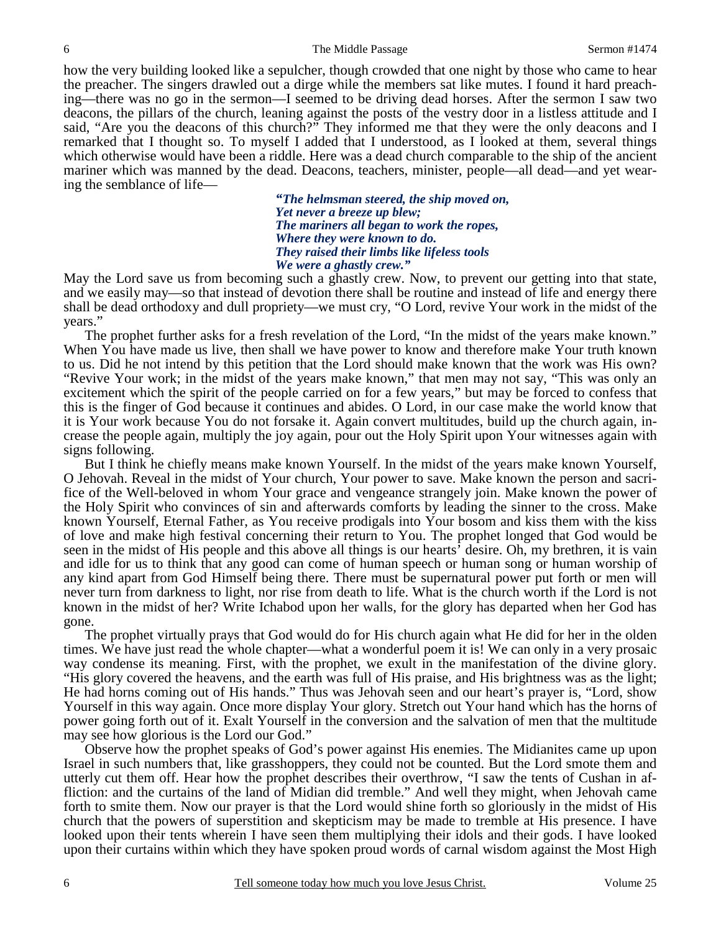how the very building looked like a sepulcher, though crowded that one night by those who came to hear the preacher. The singers drawled out a dirge while the members sat like mutes. I found it hard preaching—there was no go in the sermon—I seemed to be driving dead horses. After the sermon I saw two deacons, the pillars of the church, leaning against the posts of the vestry door in a listless attitude and I said, "Are you the deacons of this church?" They informed me that they were the only deacons and I remarked that I thought so. To myself I added that I understood, as I looked at them, several things which otherwise would have been a riddle. Here was a dead church comparable to the ship of the ancient mariner which was manned by the dead. Deacons, teachers, minister, people—all dead—and yet wearing the semblance of life—

> *"The helmsman steered, the ship moved on, Yet never a breeze up blew; The mariners all began to work the ropes, Where they were known to do. They raised their limbs like lifeless tools We were a ghastly crew."*

May the Lord save us from becoming such a ghastly crew. Now, to prevent our getting into that state, and we easily may—so that instead of devotion there shall be routine and instead of life and energy there shall be dead orthodoxy and dull propriety—we must cry, "O Lord, revive Your work in the midst of the years."

 The prophet further asks for a fresh revelation of the Lord, "In the midst of the years make known." When You have made us live, then shall we have power to know and therefore make Your truth known to us. Did he not intend by this petition that the Lord should make known that the work was His own? "Revive Your work; in the midst of the years make known," that men may not say, "This was only an excitement which the spirit of the people carried on for a few years," but may be forced to confess that this is the finger of God because it continues and abides. O Lord, in our case make the world know that it is Your work because You do not forsake it. Again convert multitudes, build up the church again, increase the people again, multiply the joy again, pour out the Holy Spirit upon Your witnesses again with signs following.

 But I think he chiefly means make known Yourself. In the midst of the years make known Yourself, O Jehovah. Reveal in the midst of Your church, Your power to save. Make known the person and sacrifice of the Well-beloved in whom Your grace and vengeance strangely join. Make known the power of the Holy Spirit who convinces of sin and afterwards comforts by leading the sinner to the cross. Make known Yourself, Eternal Father, as You receive prodigals into Your bosom and kiss them with the kiss of love and make high festival concerning their return to You. The prophet longed that God would be seen in the midst of His people and this above all things is our hearts' desire. Oh, my brethren, it is vain and idle for us to think that any good can come of human speech or human song or human worship of any kind apart from God Himself being there. There must be supernatural power put forth or men will never turn from darkness to light, nor rise from death to life. What is the church worth if the Lord is not known in the midst of her? Write Ichabod upon her walls, for the glory has departed when her God has gone.

 The prophet virtually prays that God would do for His church again what He did for her in the olden times. We have just read the whole chapter—what a wonderful poem it is! We can only in a very prosaic way condense its meaning. First, with the prophet, we exult in the manifestation of the divine glory. "His glory covered the heavens, and the earth was full of His praise, and His brightness was as the light; He had horns coming out of His hands." Thus was Jehovah seen and our heart's prayer is, "Lord, show Yourself in this way again. Once more display Your glory. Stretch out Your hand which has the horns of power going forth out of it. Exalt Yourself in the conversion and the salvation of men that the multitude may see how glorious is the Lord our God."

 Observe how the prophet speaks of God's power against His enemies. The Midianites came up upon Israel in such numbers that, like grasshoppers, they could not be counted. But the Lord smote them and utterly cut them off. Hear how the prophet describes their overthrow, "I saw the tents of Cushan in affliction: and the curtains of the land of Midian did tremble." And well they might, when Jehovah came forth to smite them. Now our prayer is that the Lord would shine forth so gloriously in the midst of His church that the powers of superstition and skepticism may be made to tremble at His presence. I have looked upon their tents wherein I have seen them multiplying their idols and their gods. I have looked upon their curtains within which they have spoken proud words of carnal wisdom against the Most High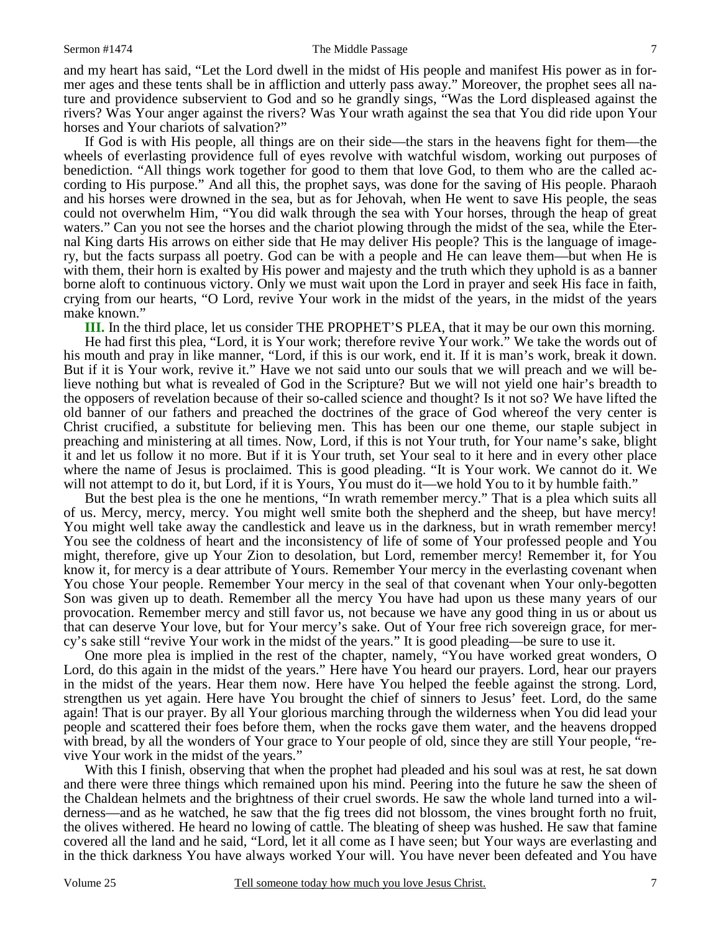and my heart has said, "Let the Lord dwell in the midst of His people and manifest His power as in former ages and these tents shall be in affliction and utterly pass away." Moreover, the prophet sees all nature and providence subservient to God and so he grandly sings, "Was the Lord displeased against the rivers? Was Your anger against the rivers? Was Your wrath against the sea that You did ride upon Your horses and Your chariots of salvation?"

 If God is with His people, all things are on their side—the stars in the heavens fight for them—the wheels of everlasting providence full of eyes revolve with watchful wisdom, working out purposes of benediction. "All things work together for good to them that love God, to them who are the called according to His purpose." And all this, the prophet says, was done for the saving of His people. Pharaoh and his horses were drowned in the sea, but as for Jehovah, when He went to save His people, the seas could not overwhelm Him, "You did walk through the sea with Your horses, through the heap of great waters." Can you not see the horses and the chariot plowing through the midst of the sea, while the Eternal King darts His arrows on either side that He may deliver His people? This is the language of imagery, but the facts surpass all poetry. God can be with a people and He can leave them—but when He is with them, their horn is exalted by His power and majesty and the truth which they uphold is as a banner borne aloft to continuous victory. Only we must wait upon the Lord in prayer and seek His face in faith, crying from our hearts, "O Lord, revive Your work in the midst of the years, in the midst of the years make known."

**III.** In the third place, let us consider THE PROPHET'S PLEA, that it may be our own this morning.

 He had first this plea, "Lord, it is Your work; therefore revive Your work." We take the words out of his mouth and pray in like manner, "Lord, if this is our work, end it. If it is man's work, break it down. But if it is Your work, revive it." Have we not said unto our souls that we will preach and we will believe nothing but what is revealed of God in the Scripture? But we will not yield one hair's breadth to the opposers of revelation because of their so-called science and thought? Is it not so? We have lifted the old banner of our fathers and preached the doctrines of the grace of God whereof the very center is Christ crucified, a substitute for believing men. This has been our one theme, our staple subject in preaching and ministering at all times. Now, Lord, if this is not Your truth, for Your name's sake, blight it and let us follow it no more. But if it is Your truth, set Your seal to it here and in every other place where the name of Jesus is proclaimed. This is good pleading. "It is Your work. We cannot do it. We will not attempt to do it, but Lord, if it is Yours, You must do it—we hold You to it by humble faith."

 But the best plea is the one he mentions, "In wrath remember mercy." That is a plea which suits all of us. Mercy, mercy, mercy. You might well smite both the shepherd and the sheep, but have mercy! You might well take away the candlestick and leave us in the darkness, but in wrath remember mercy! You see the coldness of heart and the inconsistency of life of some of Your professed people and You might, therefore, give up Your Zion to desolation, but Lord, remember mercy! Remember it, for You know it, for mercy is a dear attribute of Yours. Remember Your mercy in the everlasting covenant when You chose Your people. Remember Your mercy in the seal of that covenant when Your only-begotten Son was given up to death. Remember all the mercy You have had upon us these many years of our provocation. Remember mercy and still favor us, not because we have any good thing in us or about us that can deserve Your love, but for Your mercy's sake. Out of Your free rich sovereign grace, for mercy's sake still "revive Your work in the midst of the years." It is good pleading—be sure to use it.

 One more plea is implied in the rest of the chapter, namely, "You have worked great wonders, O Lord, do this again in the midst of the years." Here have You heard our prayers. Lord, hear our prayers in the midst of the years. Hear them now. Here have You helped the feeble against the strong. Lord, strengthen us yet again. Here have You brought the chief of sinners to Jesus' feet. Lord, do the same again! That is our prayer. By all Your glorious marching through the wilderness when You did lead your people and scattered their foes before them, when the rocks gave them water, and the heavens dropped with bread, by all the wonders of Your grace to Your people of old, since they are still Your people, "revive Your work in the midst of the years."

 With this I finish, observing that when the prophet had pleaded and his soul was at rest, he sat down and there were three things which remained upon his mind. Peering into the future he saw the sheen of the Chaldean helmets and the brightness of their cruel swords. He saw the whole land turned into a wilderness—and as he watched, he saw that the fig trees did not blossom, the vines brought forth no fruit, the olives withered. He heard no lowing of cattle. The bleating of sheep was hushed. He saw that famine covered all the land and he said, "Lord, let it all come as I have seen; but Your ways are everlasting and in the thick darkness You have always worked Your will. You have never been defeated and You have